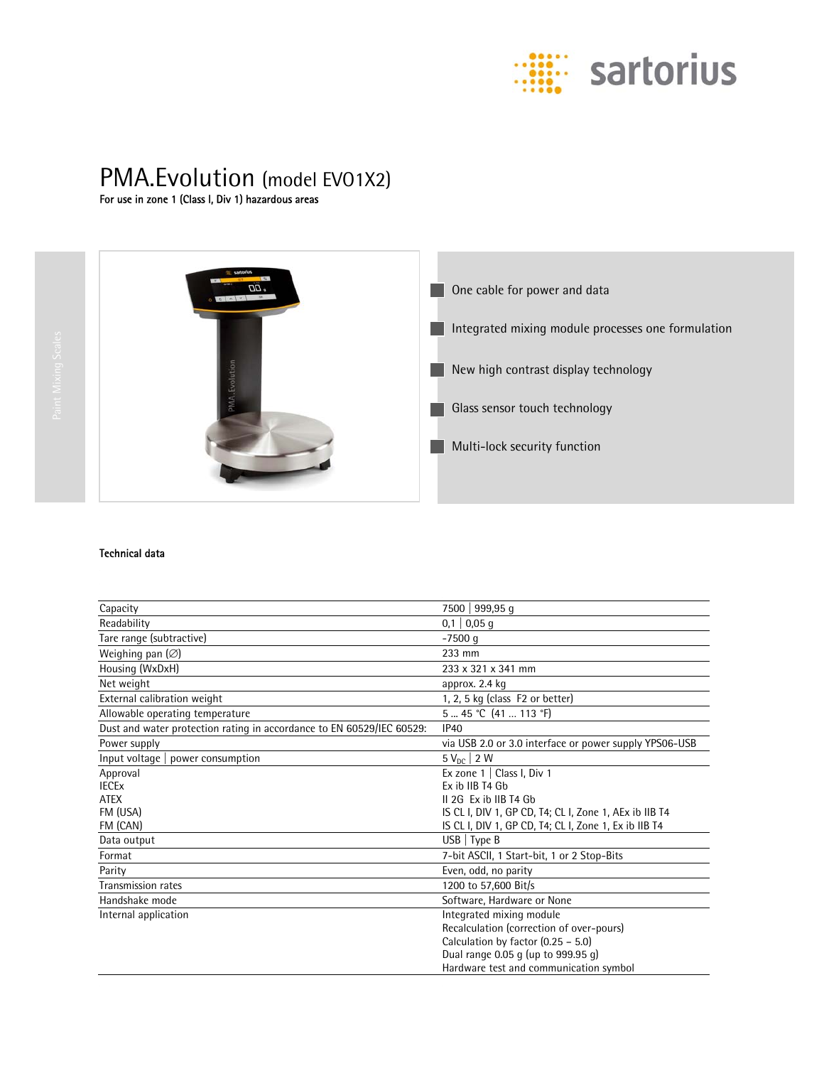

# PMA.Evolution (model EVO1X2)<br>For use in zone 1 (Class I, Div 1) hazardous areas



**One cable for power and data** Integrated mixing module processes one formulation New high contrast display technology **Glass sensor touch technology Multi-lock security function** 

## Technical data

| Capacity                                                              | 7500   999,95 q                                        |
|-----------------------------------------------------------------------|--------------------------------------------------------|
| Readability                                                           | $0,1 \mid 0,05 \text{ q}$                              |
| Tare range (subtractive)                                              | $-7500$ q                                              |
| Weighing pan $(\varnothing)$                                          | 233 mm                                                 |
| Housing (WxDxH)                                                       | 233 x 321 x 341 mm                                     |
| Net weight                                                            | approx. 2.4 kg                                         |
| External calibration weight                                           | 1, 2, 5 kg (class F2 or better)                        |
| Allowable operating temperature                                       | 5  45 °C (41  113 °F)                                  |
| Dust and water protection rating in accordance to EN 60529/IEC 60529: | IP40                                                   |
| Power supply                                                          | via USB 2.0 or 3.0 interface or power supply YPS06-USB |
| $Input$ voltage<br>power consumption                                  | $5 V_{nc}$   2 W                                       |
| Approval                                                              | Ex zone $1 \mid$ Class I, Div 1                        |
| <b>IECE<sub>x</sub></b>                                               | Ex ib IIB T4 Gb                                        |
| <b>ATEX</b>                                                           | II 2G Ex ib IIB T4 Gb                                  |
| FM (USA)                                                              | IS CL I, DIV 1, GP CD, T4; CL I, Zone 1, AEx ib IIB T4 |
| FM (CAN)                                                              | IS CL I, DIV 1, GP CD, T4; CL I, Zone 1, Ex ib IIB T4  |
| Data output                                                           | $USB$   Type B                                         |
| Format                                                                | 7-bit ASCII, 1 Start-bit, 1 or 2 Stop-Bits             |
| Parity                                                                | Even, odd, no parity                                   |
| <b>Transmission rates</b>                                             | 1200 to 57,600 Bit/s                                   |
| Handshake mode                                                        | Software, Hardware or None                             |
| Internal application                                                  | Integrated mixing module                               |
|                                                                       | Recalculation (correction of over-pours)               |
|                                                                       | Calculation by factor (0.25 - 5.0)                     |
|                                                                       | Dual range 0.05 g (up to 999.95 g)                     |
|                                                                       | Hardware test and communication symbol                 |